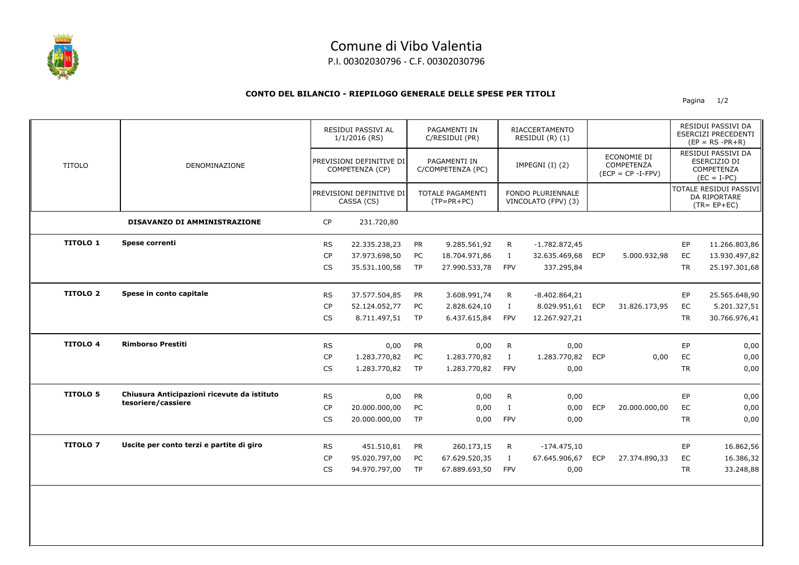

## Comune di Vibo Valentia

P.I. 00302030796 - C.F. 00302030796

## **CONTO DEL BILANCIO - RIEPILOGO GENERALE DELLE SPESE PER TITOLI**

Pagina 1/2

|                 | DENOMINAZIONE                               |           | RESIDUI PASSIVI AL<br>$1/1/2016$ (RS)<br>PREVISIONI DEFINITIVE DI<br>COMPETENZA (CP)<br>PREVISIONI DEFINITIVE DI<br>CASSA (CS) |           | PAGAMENTI IN<br>C/RESIDUI (PR)<br>PAGAMENTI IN<br>C/COMPETENZA (PC)<br><b>TOTALE PAGAMENTI</b><br>$(TP = PR + PC)$ |              | <b>RIACCERTAMENTO</b><br>RESIDUI (R) (1)<br>IMPEGNI (I) (2)<br><b>FONDO PLURIENNALE</b><br>VINCOLATO (FPV) (3) |            |                                                          |           | RESIDUI PASSIVI DA<br>ESERCIZI PRECEDENTI<br>$(EP = RS - PR + R)$                                                                      |
|-----------------|---------------------------------------------|-----------|--------------------------------------------------------------------------------------------------------------------------------|-----------|--------------------------------------------------------------------------------------------------------------------|--------------|----------------------------------------------------------------------------------------------------------------|------------|----------------------------------------------------------|-----------|----------------------------------------------------------------------------------------------------------------------------------------|
| <b>TITOLO</b>   |                                             |           |                                                                                                                                |           |                                                                                                                    |              |                                                                                                                |            | ECONOMIE DI<br><b>COMPETENZA</b><br>$(ECP = CP - I-FPV)$ |           | RESIDUI PASSIVI DA<br>ESERCIZIO DI<br>COMPETENZA<br>$(EC = I-PC)$<br><b>TOTALE RESIDUI PASSIVI</b><br>DA RIPORTARE<br>$(TR = EP + EC)$ |
|                 |                                             |           |                                                                                                                                |           |                                                                                                                    |              |                                                                                                                |            |                                                          |           |                                                                                                                                        |
|                 | DISAVANZO DI AMMINISTRAZIONE                | CP        | 231.720,80                                                                                                                     |           |                                                                                                                    |              |                                                                                                                |            |                                                          |           |                                                                                                                                        |
| <b>TITOLO 1</b> | Spese correnti                              | <b>RS</b> | 22.335.238,23                                                                                                                  | <b>PR</b> | 9.285.561,92                                                                                                       | R            | $-1.782.872,45$                                                                                                |            |                                                          | EP        | 11.266.803,86                                                                                                                          |
|                 |                                             | <b>CP</b> | 37.973.698,50                                                                                                                  | PC        | 18.704.971,86                                                                                                      | $\mathbf{I}$ | 32.635.469,68                                                                                                  | <b>ECP</b> | 5.000.932,98                                             | EC        | 13.930.497,82                                                                                                                          |
|                 |                                             | CS        | 35.531.100,58                                                                                                                  | <b>TP</b> | 27.990.533,78                                                                                                      | <b>FPV</b>   | 337.295,84                                                                                                     |            |                                                          | <b>TR</b> | 25.197.301,68                                                                                                                          |
| <b>TITOLO 2</b> | Spese in conto capitale                     | <b>RS</b> | 37.577.504,85                                                                                                                  | PR        | 3.608.991,74                                                                                                       | R            | $-8.402.864, 21$                                                                                               |            |                                                          | EP        | 25.565.648,90                                                                                                                          |
|                 |                                             | <b>CP</b> | 52.124.052,77                                                                                                                  | PC        | 2.828.624,10                                                                                                       | $\bf{I}$     | 8.029.951,61                                                                                                   | ECP        | 31.826.173,95                                            | EC        | 5.201.327,51                                                                                                                           |
|                 |                                             | <b>CS</b> | 8.711.497,51                                                                                                                   | TP        | 6.437.615,84                                                                                                       | <b>FPV</b>   | 12.267.927,21                                                                                                  |            |                                                          | <b>TR</b> | 30.766.976,41                                                                                                                          |
| <b>TITOLO 4</b> | <b>Rimborso Prestiti</b>                    | <b>RS</b> | 0,00                                                                                                                           | PR        | 0,00                                                                                                               | $\mathsf{R}$ | 0,00                                                                                                           |            |                                                          | EP        | 0,00                                                                                                                                   |
|                 |                                             | CP        | 1.283.770,82                                                                                                                   | PC        | 1.283.770,82                                                                                                       | $\mathbf I$  | 1.283.770,82                                                                                                   | <b>ECP</b> | 0,00                                                     | EC        | 0,00                                                                                                                                   |
|                 |                                             | CS        | 1.283.770,82                                                                                                                   | <b>TP</b> | 1.283.770,82                                                                                                       | <b>FPV</b>   | 0,00                                                                                                           |            |                                                          | <b>TR</b> | 0,00                                                                                                                                   |
| <b>TITOLO 5</b> | Chiusura Anticipazioni ricevute da istituto | <b>RS</b> | 0,00                                                                                                                           | PR        | 0,00                                                                                                               | $\mathsf{R}$ | 0,00                                                                                                           |            |                                                          | EP        | 0,00                                                                                                                                   |
|                 | tesoriere/cassiere                          | <b>CP</b> | 20.000.000,00                                                                                                                  | PC        | 0,00                                                                                                               | $\mathbf{I}$ | 0,00                                                                                                           | <b>ECP</b> | 20.000.000,00                                            | EC        | 0,00                                                                                                                                   |
|                 |                                             | <b>CS</b> | 20.000.000,00                                                                                                                  | <b>TP</b> | 0,00                                                                                                               | FPV          | 0,00                                                                                                           |            |                                                          | <b>TR</b> | 0,00                                                                                                                                   |
| <b>TITOLO 7</b> | Uscite per conto terzi e partite di giro    | <b>RS</b> | 451.510,81                                                                                                                     | <b>PR</b> | 260.173,15                                                                                                         | R            | $-174.475,10$                                                                                                  |            |                                                          | EP        | 16.862,56                                                                                                                              |
|                 |                                             | <b>CP</b> | 95.020.797,00                                                                                                                  | PC        | 67.629.520,35                                                                                                      | $\bf{I}$     | 67.645.906,67                                                                                                  | <b>ECP</b> | 27.374.890,33                                            | EC        | 16.386,32                                                                                                                              |
|                 |                                             | <b>CS</b> | 94.970.797,00                                                                                                                  | <b>TP</b> | 67.889.693,50                                                                                                      | <b>FPV</b>   | 0,00                                                                                                           |            |                                                          | <b>TR</b> | 33.248,88                                                                                                                              |
|                 |                                             |           |                                                                                                                                |           |                                                                                                                    |              |                                                                                                                |            |                                                          |           |                                                                                                                                        |